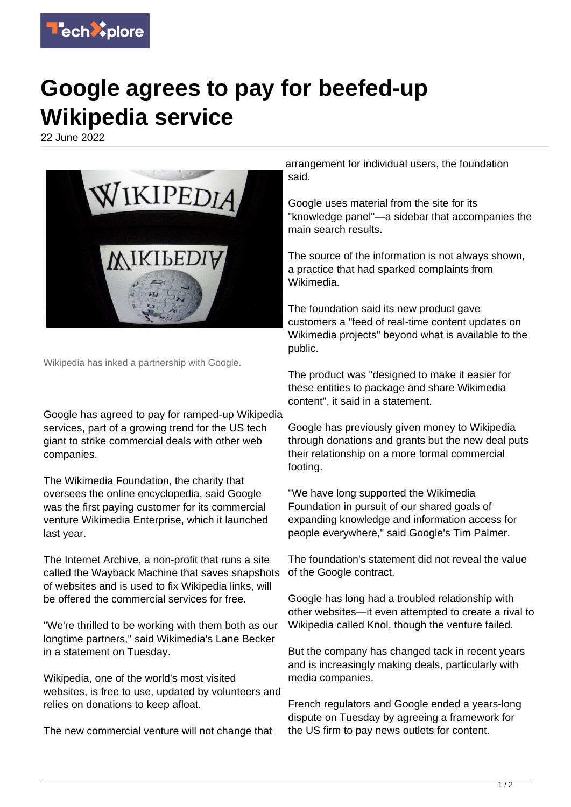

## **Google agrees to pay for beefed-up Wikipedia service**

22 June 2022



Wikipedia has inked a partnership with Google.

Google has agreed to pay for ramped-up Wikipedia services, part of a growing trend for the US tech giant to strike commercial deals with other web companies.

The Wikimedia Foundation, the charity that oversees the online encyclopedia, said Google was the first paying customer for its commercial venture Wikimedia Enterprise, which it launched last year.

The Internet Archive, a non-profit that runs a site called the Wayback Machine that saves snapshots of websites and is used to fix Wikipedia links, will be offered the commercial services for free.

"We're thrilled to be working with them both as our longtime partners," said Wikimedia's Lane Becker in a statement on Tuesday.

Wikipedia, one of the world's most visited websites, is free to use, updated by volunteers and relies on donations to keep afloat.

The new commercial venture will not change that

arrangement for individual users, the foundation said.

Google uses material from the site for its "knowledge panel"—a sidebar that accompanies the main search results.

The source of the information is not always shown, a practice that had sparked complaints from Wikimedia.

The foundation said its new product gave customers a "feed of real-time content updates on Wikimedia projects" beyond what is available to the public.

The product was "designed to make it easier for these entities to package and share Wikimedia content", it said in a statement.

Google has previously given money to Wikipedia through donations and grants but the new deal puts their relationship on a more formal commercial footing.

"We have long supported the Wikimedia Foundation in pursuit of our shared goals of expanding knowledge and information access for people everywhere," said Google's Tim Palmer.

The foundation's statement did not reveal the value of the Google contract.

Google has long had a troubled relationship with other websites—it even attempted to create a rival to Wikipedia called Knol, though the venture failed.

But the company has changed tack in recent years and is increasingly making deals, particularly with media companies.

French regulators and Google ended a years-long dispute on Tuesday by agreeing a framework for the US firm to pay news outlets for content.